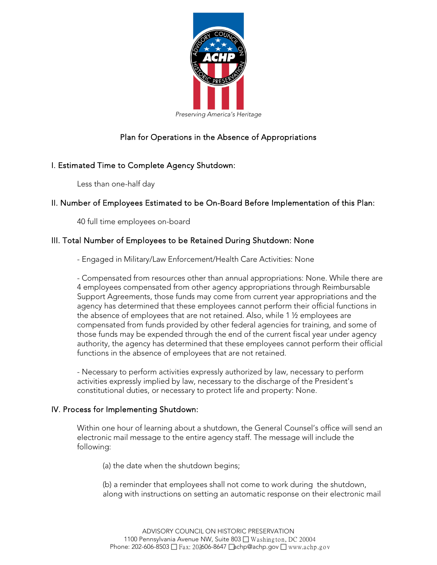

# Plan for Operations in the Absence of Appropriations

## I. Estimated Time to Complete Agency Shutdown:

Less than one-half day

## II. Number of Employees Estimated to be On-Board Before Implementation of this Plan:

40 full time employees on-board

## III. Total Number of Employees to be Retained During Shutdown: None

- Engaged in Military/Law Enforcement/Health Care Activities: None

- Compensated from resources other than annual appropriations: None. While there are 4 employees compensated from other agency appropriations through Reimbursable Support Agreements, those funds may come from current year appropriations and the agency has determined that these employees cannot perform their official functions in the absence of employees that are not retained. Also, while 1 ½ employees are compensated from funds provided by other federal agencies for training, and some of those funds may be expended through the end of the current fiscal year under agency authority, the agency has determined that these employees cannot perform their official functions in the absence of employees that are not retained.

- Necessary to perform activities expressly authorized by law, necessary to perform activities expressly implied by law, necessary to the discharge of the President's constitutional duties, or necessary to protect life and property: None.

### IV. Process for Implementing Shutdown:

Within one hour of learning about a shutdown, the General Counsel's office will send an electronic mail message to the entire agency staff. The message will include the following:

(a) the date when the shutdown begins;

(b) a reminder that employees shall not come to work during the shutdown, along with instructions on setting an automatic response on their electronic mail